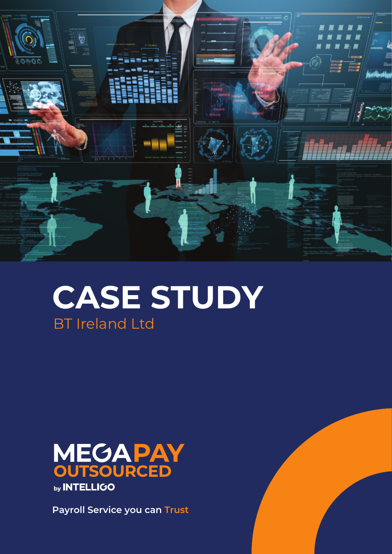

# **CASE STUDY** BT Ireland Ltd



**Payroll Service you can Trust**